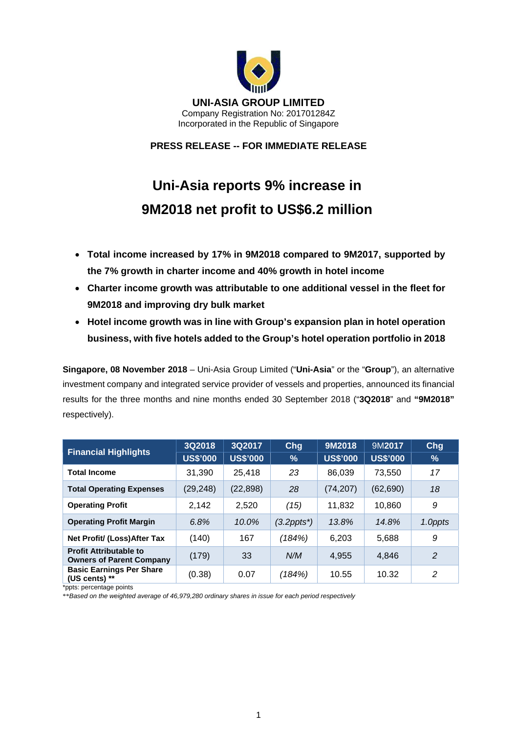

**PRESS RELEASE -- FOR IMMEDIATE RELEASE** 

# **Uni-Asia reports 9% increase in 9M2018 net profit to US\$6.2 million**

- **Total income increased by 17% in 9M2018 compared to 9M2017, supported by the 7% growth in charter income and 40% growth in hotel income**
- **Charter income growth was attributable to one additional vessel in the fleet for 9M2018 and improving dry bulk market**
- **Hotel income growth was in line with Group's expansion plan in hotel operation business, with five hotels added to the Group's hotel operation portfolio in 2018**

**Singapore, 08 November 2018** – Uni-Asia Group Limited ("**Uni-Asia**" or the "**Group**"), an alternative investment company and integrated service provider of vessels and properties, announced its financial results for the three months and nine months ended 30 September 2018 ("**3Q2018**" and **"9M2018"** respectively).

| <b>Financial Highlights</b>                                      | 3Q2018          | 3Q2017          | Chg        | 9M2018          | 9M2017          | Chg            |
|------------------------------------------------------------------|-----------------|-----------------|------------|-----------------|-----------------|----------------|
|                                                                  | <b>US\$'000</b> | <b>US\$'000</b> | %          | <b>US\$'000</b> | <b>US\$'000</b> | $\%$           |
| <b>Total Income</b>                                              | 31,390          | 25.418          | 23         | 86,039          | 73,550          | 17             |
| <b>Total Operating Expenses</b>                                  | (29, 248)       | (22, 898)       | 28         | (74, 207)       | (62, 690)       | 18             |
| <b>Operating Profit</b>                                          | 2,142           | 2,520           | (15)       | 11,832          | 10,860          | 9              |
| <b>Operating Profit Margin</b>                                   | 6.8%            | 10.0%           | (3.2ppts*) | 13.8%           | 14.8%           | 1.0ppts        |
| Net Profit/ (Loss) After Tax                                     | (140)           | 167             | (184%)     | 6,203           | 5,688           | 9              |
| <b>Profit Attributable to</b><br><b>Owners of Parent Company</b> | (179)           | 33              | N/M        | 4.955           | 4.846           | $\overline{2}$ |
| <b>Basic Earnings Per Share</b><br>(US cents) $**$               | (0.38)          | 0.07            | (184%)     | 10.55           | 10.32           | $\mathcal{P}$  |

\*ppts: percentage points

\*\**Based on the weighted average of 46,979,280 ordinary shares in issue for each period respectively*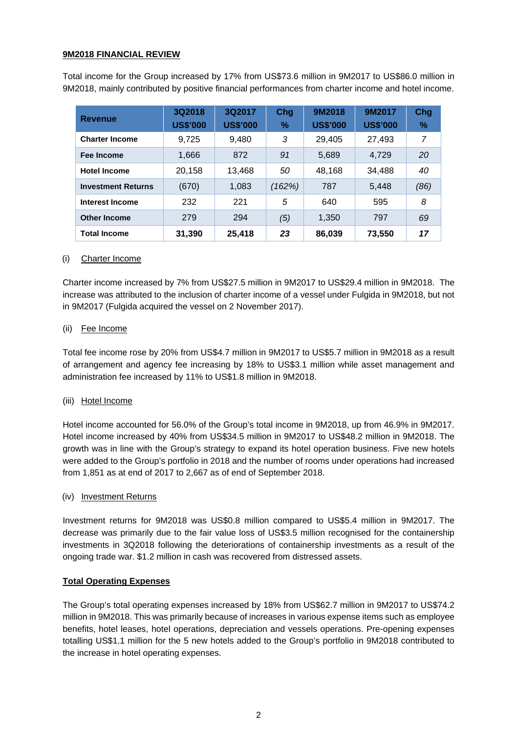# **9M2018 FINANCIAL REVIEW**

Total income for the Group increased by 17% from US\$73.6 million in 9M2017 to US\$86.0 million in 9M2018, mainly contributed by positive financial performances from charter income and hotel income.

| <b>Revenue</b>            | 3Q2018<br><b>US\$'000</b> | 3Q2017<br><b>US\$'000</b> | Chg<br>% | 9M2018<br><b>US\$'000</b> | 9M2017<br><b>US\$'000</b> | Chg<br>% |
|---------------------------|---------------------------|---------------------------|----------|---------------------------|---------------------------|----------|
| <b>Charter Income</b>     | 9,725                     | 9,480                     | 3        | 29,405                    | 27,493                    | 7        |
| Fee Income                | 1,666                     | 872                       | 91       | 5,689                     | 4,729                     | 20       |
| <b>Hotel Income</b>       | 20,158                    | 13,468                    | 50       | 48,168                    | 34,488                    | 40       |
| <b>Investment Returns</b> | (670)                     | 1,083                     | (162%)   | 787                       | 5,448                     | (86)     |
| <b>Interest Income</b>    | 232                       | 221                       | 5        | 640                       | 595                       | 8        |
| <b>Other Income</b>       | 279                       | 294                       | (5)      | 1,350                     | 797                       | 69       |
| <b>Total Income</b>       | 31,390                    | 25,418                    | 23       | 86,039                    | 73,550                    | 17       |

# (i) Charter Income

Charter income increased by 7% from US\$27.5 million in 9M2017 to US\$29.4 million in 9M2018. The increase was attributed to the inclusion of charter income of a vessel under Fulgida in 9M2018, but not in 9M2017 (Fulgida acquired the vessel on 2 November 2017).

# (ii) Fee Income

Total fee income rose by 20% from US\$4.7 million in 9M2017 to US\$5.7 million in 9M2018 as a result of arrangement and agency fee increasing by 18% to US\$3.1 million while asset management and administration fee increased by 11% to US\$1.8 million in 9M2018.

# (iii) Hotel Income

Hotel income accounted for 56.0% of the Group's total income in 9M2018, up from 46.9% in 9M2017. Hotel income increased by 40% from US\$34.5 million in 9M2017 to US\$48.2 million in 9M2018. The growth was in line with the Group's strategy to expand its hotel operation business. Five new hotels were added to the Group's portfolio in 2018 and the number of rooms under operations had increased from 1,851 as at end of 2017 to 2,667 as of end of September 2018.

#### (iv) Investment Returns

Investment returns for 9M2018 was US\$0.8 million compared to US\$5.4 million in 9M2017. The decrease was primarily due to the fair value loss of US\$3.5 million recognised for the containership investments in 3Q2018 following the deteriorations of containership investments as a result of the ongoing trade war. \$1.2 million in cash was recovered from distressed assets.

#### **Total Operating Expenses**

The Group's total operating expenses increased by 18% from US\$62.7 million in 9M2017 to US\$74.2 million in 9M2018. This was primarily because of increases in various expense items such as employee benefits, hotel leases, hotel operations, depreciation and vessels operations. Pre-opening expenses totalling US\$1.1 million for the 5 new hotels added to the Group's portfolio in 9M2018 contributed to the increase in hotel operating expenses.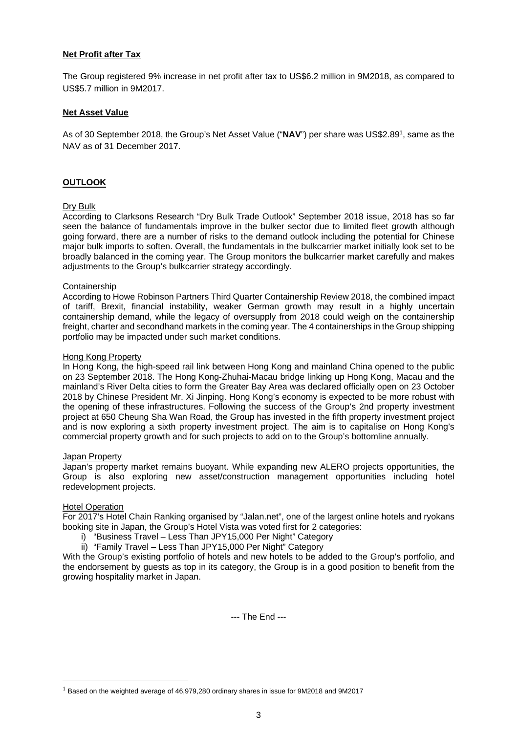# **Net Profit after Tax**

The Group registered 9% increase in net profit after tax to US\$6.2 million in 9M2018, as compared to US\$5.7 million in 9M2017.

### **Net Asset Value**

As of 30 September 2018, the Group's Net Asset Value ("**NAV**") per share was US\$2.891, same as the NAV as of 31 December 2017.

# **OUTLOOK**

#### Dry Bulk

According to Clarksons Research "Dry Bulk Trade Outlook" September 2018 issue, 2018 has so far seen the balance of fundamentals improve in the bulker sector due to limited fleet growth although going forward, there are a number of risks to the demand outlook including the potential for Chinese major bulk imports to soften. Overall, the fundamentals in the bulkcarrier market initially look set to be broadly balanced in the coming year. The Group monitors the bulkcarrier market carefully and makes adjustments to the Group's bulkcarrier strategy accordingly.

#### Containership

According to Howe Robinson Partners Third Quarter Containership Review 2018, the combined impact of tariff, Brexit, financial instability, weaker German growth may result in a highly uncertain containership demand, while the legacy of oversupply from 2018 could weigh on the containership freight, charter and secondhand markets in the coming year. The 4 containerships in the Group shipping portfolio may be impacted under such market conditions.

#### Hong Kong Property

In Hong Kong, the high-speed rail link between Hong Kong and mainland China opened to the public on 23 September 2018. The Hong Kong-Zhuhai-Macau bridge linking up Hong Kong, Macau and the mainland's River Delta cities to form the Greater Bay Area was declared officially open on 23 October 2018 by Chinese President Mr. Xi Jinping. Hong Kong's economy is expected to be more robust with the opening of these infrastructures. Following the success of the Group's 2nd property investment project at 650 Cheung Sha Wan Road, the Group has invested in the fifth property investment project and is now exploring a sixth property investment project. The aim is to capitalise on Hong Kong's commercial property growth and for such projects to add on to the Group's bottomline annually.

#### Japan Property

Japan's property market remains buoyant. While expanding new ALERO projects opportunities, the Group is also exploring new asset/construction management opportunities including hotel redevelopment projects.

#### Hotel Operation

 $\overline{a}$ 

For 2017's Hotel Chain Ranking organised by "Jalan.net", one of the largest online hotels and ryokans booking site in Japan, the Group's Hotel Vista was voted first for 2 categories:

- i) "Business Travel Less Than JPY15,000 Per Night" Category
- ii) "Family Travel Less Than JPY15,000 Per Night" Category

With the Group's existing portfolio of hotels and new hotels to be added to the Group's portfolio, and the endorsement by guests as top in its category, the Group is in a good position to benefit from the growing hospitality market in Japan.

--- The End ---

 $1$  Based on the weighted average of 46,979,280 ordinary shares in issue for 9M2018 and 9M2017